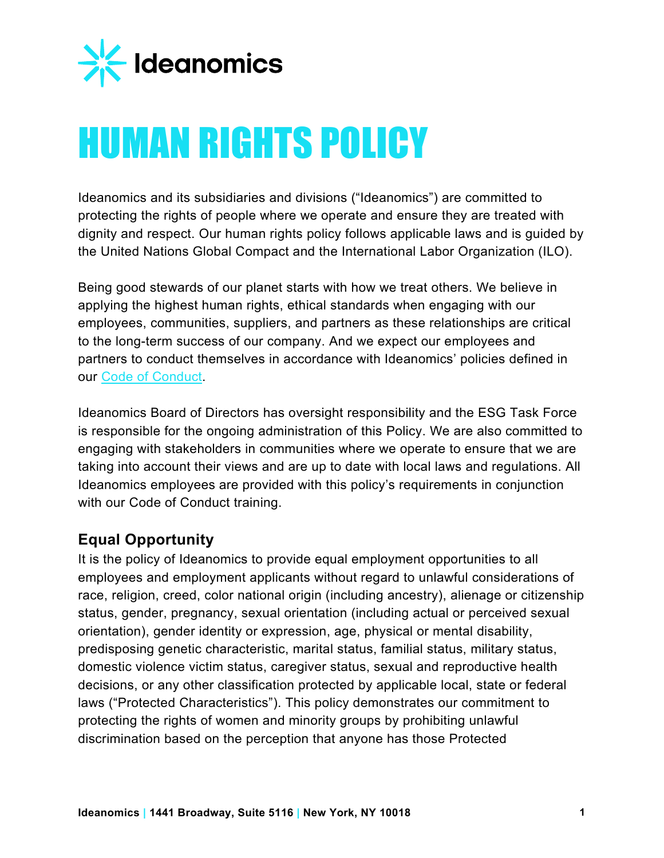

# HUMAN RIGHTS POLICY

Ideanomics and its subsidiaries and divisions ("Ideanomics") are committed to protecting the rights of people where we operate and ensure they are treated with dignity and respect. Our human rights policy follows applicable laws and is guided by the United Nations Global Compact and the International Labor Organization (ILO).

Being good stewards of our planet starts with how we treat others. We believe in applying the highest human rights, ethical standards when engaging with our employees, communities, suppliers, and partners as these relationships are critical to the long-term success of our company. And we expect our employees and partners to conduct themselves in accordance with Ideanomics' policies defined in our [Code of Conduct.](https://filecache.investorroom.com/mr5ir_ideanomics/187/IDEX-Code%20Of%20Business%20Conduct%20And%20Ethics%2012.09.21.pdf)

Ideanomics Board of Directors has oversight responsibility and the ESG Task Force is responsible for the ongoing administration of this Policy. We are also committed to engaging with stakeholders in communities where we operate to ensure that we are taking into account their views and are up to date with local laws and regulations. All Ideanomics employees are provided with this policy's requirements in conjunction with our Code of Conduct training.

# **Equal Opportunity**

It is the policy of Ideanomics to provide equal employment opportunities to all employees and employment applicants without regard to unlawful considerations of race, religion, creed, color national origin (including ancestry), alienage or citizenship status, gender, pregnancy, sexual orientation (including actual or perceived sexual orientation), gender identity or expression, age, physical or mental disability, predisposing genetic characteristic, marital status, familial status, military status, domestic violence victim status, caregiver status, sexual and reproductive health decisions, or any other classification protected by applicable local, state or federal laws ("Protected Characteristics"). This policy demonstrates our commitment to protecting the rights of women and minority groups by prohibiting unlawful discrimination based on the perception that anyone has those Protected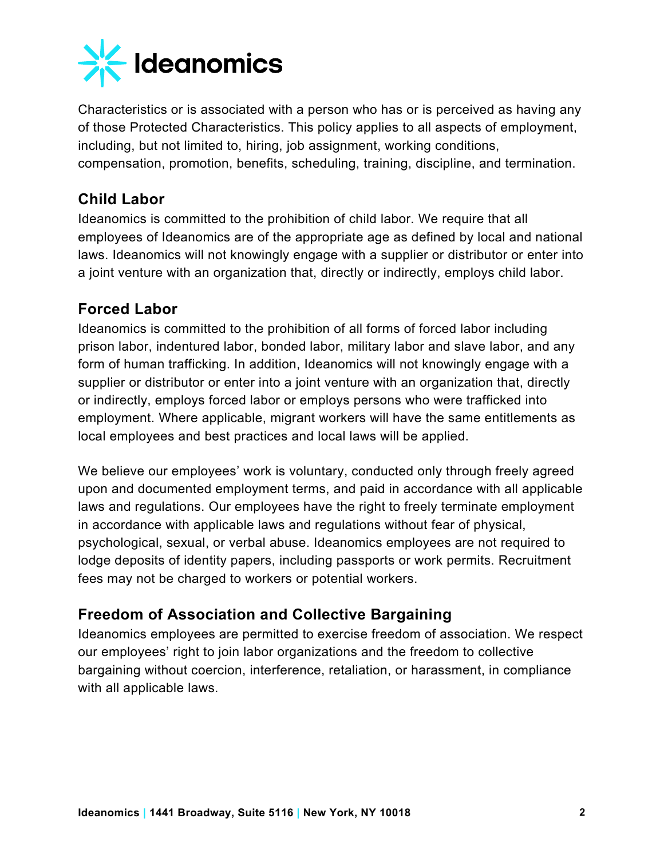

Characteristics or is associated with a person who has or is perceived as having any of those Protected Characteristics. This policy applies to all aspects of employment, including, but not limited to, hiring, job assignment, working conditions, compensation, promotion, benefits, scheduling, training, discipline, and termination.

#### **Child Labor**

Ideanomics is committed to the prohibition of child labor. We require that all employees of Ideanomics are of the appropriate age as defined by local and national laws. Ideanomics will not knowingly engage with a supplier or distributor or enter into a joint venture with an organization that, directly or indirectly, employs child labor.

# **Forced Labor**

Ideanomics is committed to the prohibition of all forms of forced labor including prison labor, indentured labor, bonded labor, military labor and slave labor, and any form of human trafficking. In addition, Ideanomics will not knowingly engage with a supplier or distributor or enter into a joint venture with an organization that, directly or indirectly, employs forced labor or employs persons who were trafficked into employment. Where applicable, migrant workers will have the same entitlements as local employees and best practices and local laws will be applied.

We believe our employees' work is voluntary, conducted only through freely agreed upon and documented employment terms, and paid in accordance with all applicable laws and regulations. Our employees have the right to freely terminate employment in accordance with applicable laws and regulations without fear of physical, psychological, sexual, or verbal abuse. Ideanomics employees are not required to lodge deposits of identity papers, including passports or work permits. Recruitment fees may not be charged to workers or potential workers.

# **Freedom of Association and Collective Bargaining**

Ideanomics employees are permitted to exercise freedom of association. We respect our employees' right to join labor organizations and the freedom to collective bargaining without coercion, interference, retaliation, or harassment, in compliance with all applicable laws.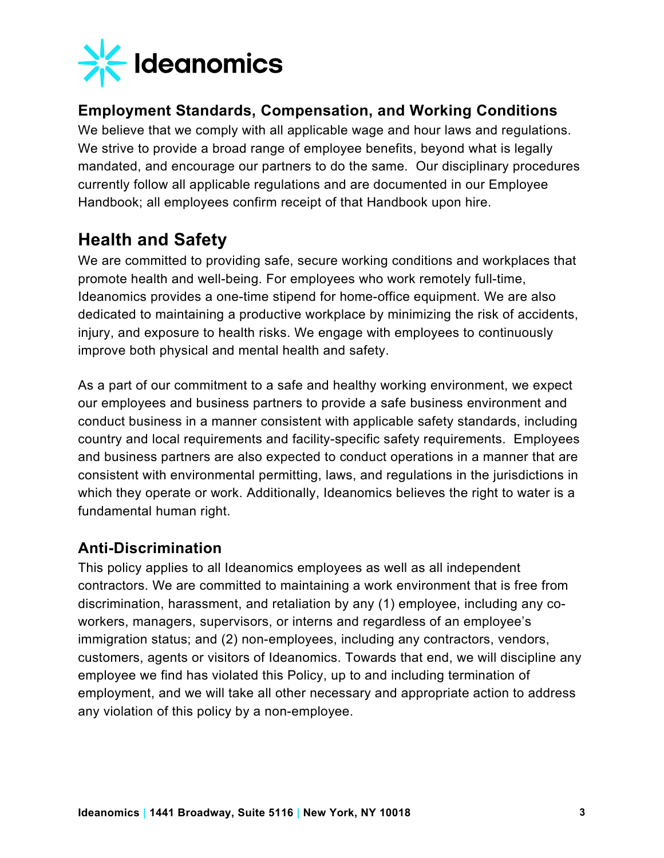

#### **Employment Standards, Compensation, and Working Conditions**

We believe that we comply with all applicable wage and hour laws and regulations. We strive to provide a broad range of employee benefits, beyond what is legally mandated, and encourage our partners to do the same. Our disciplinary procedures currently follow all applicable regulations and are documented in our Employee Handbook; all employees confirm receipt of that Handbook upon hire.

# **Health and Safety**

We are committed to providing safe, secure working conditions and workplaces that promote health and well-being. For employees who work remotely full-time, Ideanomics provides a one-time stipend for home-office equipment. We are also dedicated to maintaining a productive workplace by minimizing the risk of accidents, injury, and exposure to health risks. We engage with employees to continuously improve both physical and mental health and safety.

As a part of our commitment to a safe and healthy working environment, we expect our employees and business partners to provide a safe business environment and conduct business in a manner consistent with applicable safety standards, including country and local requirements and facility-specific safety requirements. Employees and business partners are also expected to conduct operations in a manner that are consistent with environmental permitting, laws, and regulations in the jurisdictions in which they operate or work. Additionally, Ideanomics believes the right to water is a fundamental human right.

#### **Anti-Discrimination**

This policy applies to all Ideanomics employees as well as all independent contractors. We are committed to maintaining a work environment that is free from discrimination, harassment, and retaliation by any (1) employee, including any coworkers, managers, supervisors, or interns and regardless of an employee's immigration status; and (2) non-employees, including any contractors, vendors, customers, agents or visitors of Ideanomics. Towards that end, we will discipline any employee we find has violated this Policy, up to and including termination of employment, and we will take all other necessary and appropriate action to address any violation of this policy by a non-employee.